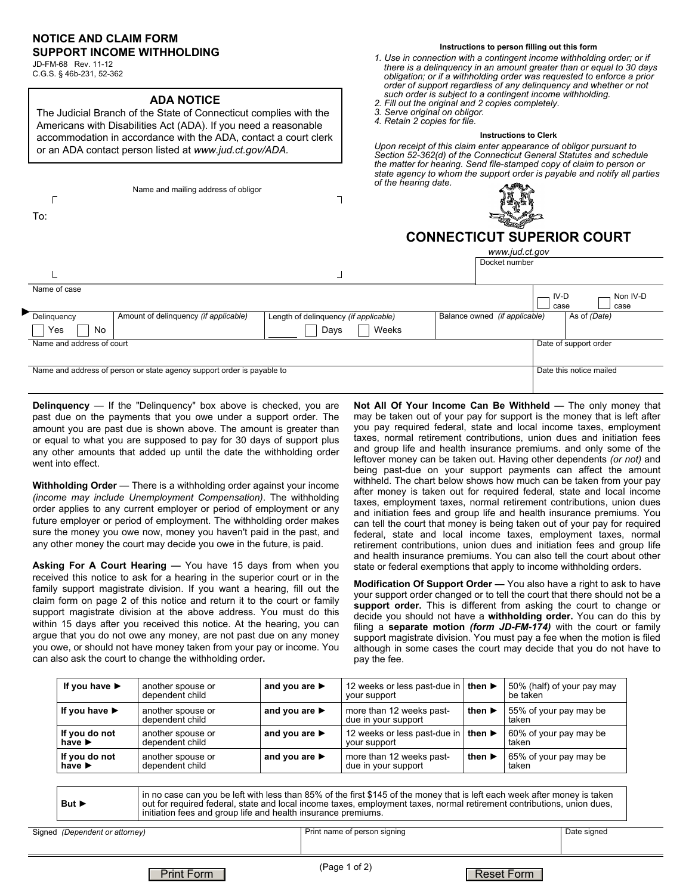### **NOTICE AND CLAIM FORM SUPPORT INCOME WITHHOLDING**

JD-FM-68 Rev. 11-12 C.G.S. § 46b-231, 52-362

#### *order of support regardless of any delinquency and whether or not such order is subject to a contingent income withholding.*  **ADA NOTICE**  *2. Fill out the original and 2 copies completely.*  The Judicial Branch of the State of Connecticut complies with the *3. Serve original on obligor. 4. Retain 2 copies for file.* Americans with Disabilities Act (ADA). If you need a reasonable **Instructions to Clerk** accommodation in accordance with the ADA, contact a court clerk *Upon receipt of this claim enter appearance of obligor pursuant to*  or an ADA contact person listed at *www.jud.ct.gov/ADA. of the hearing date.* Name and mailing address of obligor ٦  $\Gamma$ To: **CONNECTICUT SUPERIOR COURT**  *www.jud.ct.gov* Docket number Name of case IV-D Non IV-D l case case ►<br>
Delinquency **Mount of delinquency** *(if applicable)* Length of delinquency *(if applicable)* Balance owned *(if applicable)* As of *(Date)* Yes | | No Days  $\Box$  Weeks Name and address of court Date of support order Name and address of person or state agency support order is payable to Date this notice mailed

**Delinquency** — If the "Delinquency" box above is checked, you are past due on the payments that you owe under a support order. The amount you are past due is shown above. The amount is greater than or equal to what you are supposed to pay for 30 days of support plus any other amounts that added up until the date the withholding order went into effect.

**Withholding Order** — There is a withholding order against your income *(income may include Unemployment Compensation)*. The withholding order applies to any current employer or period of employment or any future employer or period of employment. The withholding order makes sure the money you owe now, money you haven't paid in the past, and any other money the court may decide you owe in the future, is paid.

**Asking For A Court Hearing —** You have 15 days from when you received this notice to ask for a hearing in the superior court or in the family support magistrate division. If you want a hearing, fill out the claim form on page 2 of this notice and return it to the court or family support magistrate division at the above address. You must do this within 15 days after you received this notice. At the hearing, you can argue that you do not owe any money, are not past due on any money you owe, or should not have money taken from your pay or income. You can also ask the court to change the withholding order**.**

**Not All Of Your Income Can Be Withheld —** The only money that may be taken out of your pay for support is the money that is left after you pay required federal, state and local income taxes, employment taxes, normal retirement contributions, union dues and initiation fees and group life and health insurance premiums. and only some of the leftover money can be taken out. Having other dependents *(or not)* and being past-due on your support payments can affect the amount withheld. The chart below shows how much can be taken from your pay after money is taken out for required federal, state and local income taxes, employment taxes, normal retirement contributions, union dues and initiation fees and group life and health insurance premiums. You can tell the court that money is being taken out of your pay for required federal, state and local income taxes, employment taxes, normal retirement contributions, union dues and initiation fees and group life and health insurance premiums. You can also tell the court about other state or federal exemptions that apply to income withholding orders.

**Modification Of Support Order —** You also have a right to ask to have your support order changed or to tell the court that there should not be a **support order.** This is different from asking the court to change or decide you should not have a **withholding order.** You can do this by filing a **separate motion** *(form JD-FM-174)* with the court or family support magistrate division. You must pay a fee when the motion is filed although in some cases the court may decide that you do not have to pay the fee.

| If you have $\blacktriangleright$                                                                                                                                                                                                                                                                                                                 | another spouse or<br>dependent child | and you are $\blacktriangleright$ |  | 12 weeks or less past-due in<br>your support    | then $\blacktriangleright$ | be taken                        | 50% (half) of your pay may |  |
|---------------------------------------------------------------------------------------------------------------------------------------------------------------------------------------------------------------------------------------------------------------------------------------------------------------------------------------------------|--------------------------------------|-----------------------------------|--|-------------------------------------------------|----------------------------|---------------------------------|----------------------------|--|
| If you have $\blacktriangleright$                                                                                                                                                                                                                                                                                                                 | another spouse or<br>dependent child | and you are $\blacktriangleright$ |  | more than 12 weeks past-<br>due in your support | then $\blacktriangleright$ | 55% of your pay may be<br>taken |                            |  |
| If you do not<br>have $\blacktriangleright$                                                                                                                                                                                                                                                                                                       | another spouse or<br>dependent child | and you are $\blacktriangleright$ |  | 12 weeks or less past-due in<br>your support    | then $\blacktriangleright$ | 60% of your pay may be<br>taken |                            |  |
| If you do not<br>have $\blacktriangleright$                                                                                                                                                                                                                                                                                                       | another spouse or<br>dependent child | and you are $\blacktriangleright$ |  | more than 12 weeks past-<br>due in your support | then $\blacktriangleright$ | 65% of your pay may be<br>taken |                            |  |
|                                                                                                                                                                                                                                                                                                                                                   |                                      |                                   |  |                                                 |                            |                                 |                            |  |
| in no case can you be left with less than 85% of the first \$145 of the money that is left each week after money is taken<br>out for required federal, state and local income taxes, employment taxes, normal retirement contributions, union dues,<br>But $\blacktriangleright$<br>initiation fees and group life and health insurance premiums. |                                      |                                   |  |                                                 |                            |                                 |                            |  |
| Date signed<br>Print name of person signing                                                                                                                                                                                                                                                                                                       |                                      |                                   |  |                                                 |                            |                                 |                            |  |
| d (Dependent or attorney)                                                                                                                                                                                                                                                                                                                         |                                      |                                   |  |                                                 |                            |                                 |                            |  |

*Section 52-362(d) of the Connecticut General Statutes and schedule the matter for hearing. Send file-stamped copy of claim to person or state agency to whom the support order is payable and notify all parties* 

**Instructions to person filling out this form** *1. Use in connection with a contingent income withholding order; or if there is a delinquency in an amount greater than or equal to 30 days obligation; or if a withholding order was requested to enforce a prior* 

Signed *(Dependent or attorney)*

Reset Form